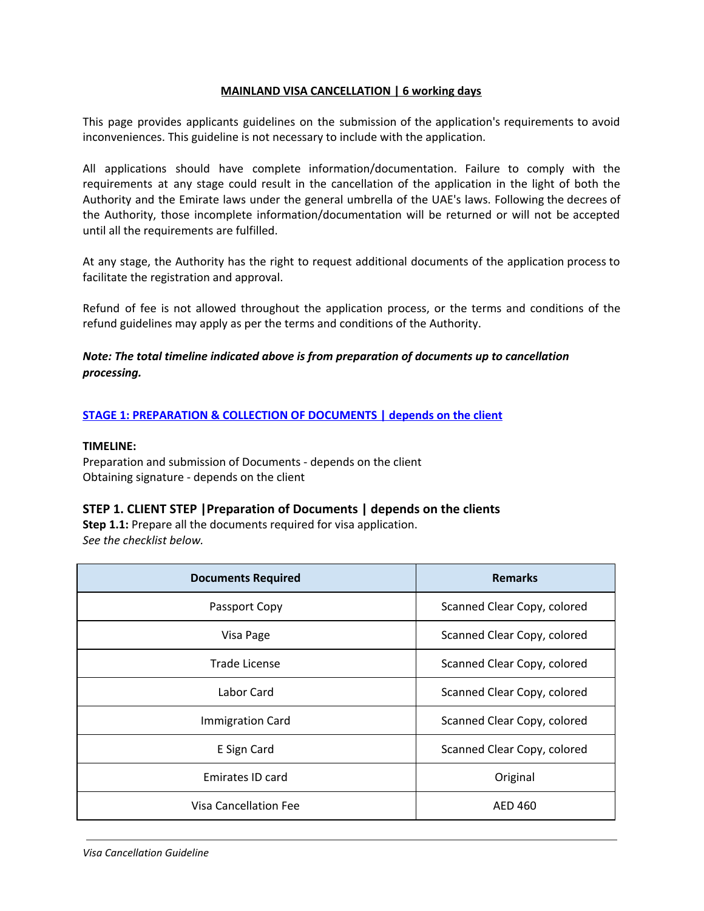### **MAINLAND VISA CANCELLATION | 6 working days**

This page provides applicants guidelines on the submission of the application's requirements to avoid inconveniences. This guideline is not necessary to include with the application.

All applications should have complete information/documentation. Failure to comply with the requirements at any stage could result in the cancellation of the application in the light of both the Authority and the Emirate laws under the general umbrella of the UAE's laws. Following the decrees of the Authority, those incomplete information/documentation will be returned or will not be accepted until all the requirements are fulfilled.

At any stage, the Authority has the right to request additional documents of the application process to facilitate the registration and approval.

Refund of fee is not allowed throughout the application process, or the terms and conditions of the refund guidelines may apply as per the terms and conditions of the Authority.

# *Note: The total timeline indicated above is from preparation of documents up to cancellation processing.*

### **STAGE 1: PREPARATION & COLLECTION OF DOCUMENTS | depends on the client**

#### **TIMELINE:**

Preparation and submission of Documents - depends on the client Obtaining signature - depends on the client

### **STEP 1. CLIENT STEP |Preparation of Documents | depends on the clients**

**Step 1.1:** Prepare all the documents required for visa application. *See the checklist below.*

| <b>Documents Required</b>    | <b>Remarks</b>              |
|------------------------------|-----------------------------|
| Passport Copy                | Scanned Clear Copy, colored |
| Visa Page                    | Scanned Clear Copy, colored |
| Trade License                | Scanned Clear Copy, colored |
| Labor Card                   | Scanned Clear Copy, colored |
| <b>Immigration Card</b>      | Scanned Clear Copy, colored |
| E Sign Card                  | Scanned Clear Copy, colored |
| Emirates ID card             | Original                    |
| <b>Visa Cancellation Fee</b> | AED 460                     |